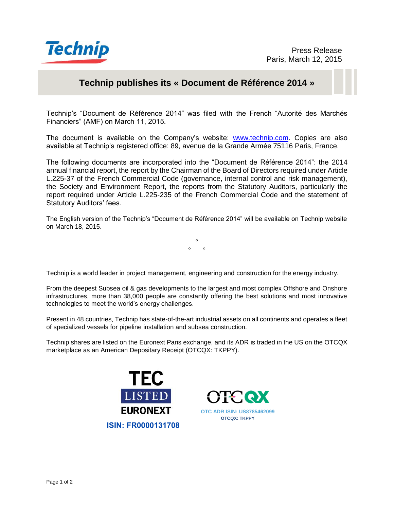

# **Technip publishes its « Document de Référence 2014 »**

Technip's "Document de Référence 2014" was filed with the French "Autorité des Marchés Financiers" (AMF) on March 11, 2015.

The document is available on the Company's website: [www.technip.com.](http://www.technip.com/) Copies are also available at Technip's registered office: 89, avenue de la Grande Armée 75116 Paris, France.

The following documents are incorporated into the "Document de Référence 2014": the 2014 annual financial report, the report by the Chairman of the Board of Directors required under Article L.225-37 of the French Commercial Code (governance, internal control and risk management), the Society and Environment Report, the reports from the Statutory Auditors, particularly the report required under Article L.225-235 of the French Commercial Code and the statement of Statutory Auditors' fees.

The English version of the Technip's "Document de Référence 2014" will be available on Technip website on March 18, 2015.

> °  $\circ$   $\circ$

Technip is a world leader in project management, engineering and construction for the energy industry.

From the deepest Subsea oil & gas developments to the largest and most complex Offshore and Onshore infrastructures, more than 38,000 people are constantly offering the best solutions and most innovative technologies to meet the world's energy challenges.

Present in 48 countries, Technip has state-of-the-art industrial assets on all continents and operates a fleet of specialized vessels for pipeline installation and subsea construction.

Technip shares are listed on the Euronext Paris exchange, and its ADR is traded in the US on the OTCQX marketplace as an American Depositary Receipt (OTCQX: TKPPY).